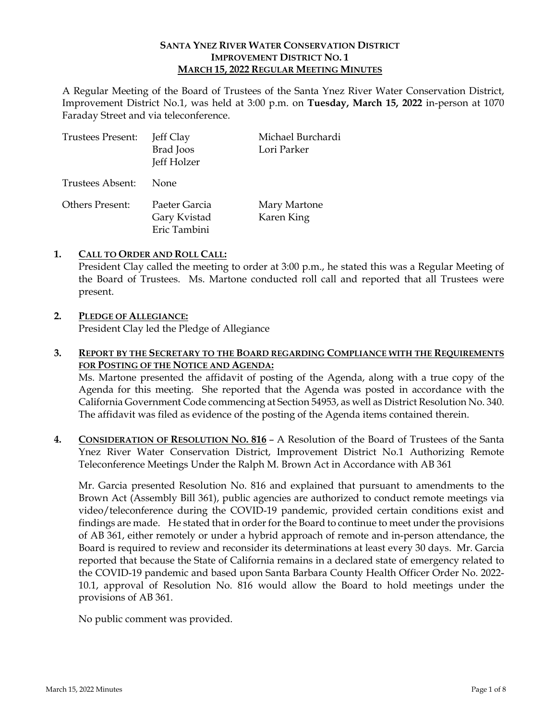## **SANTA YNEZ RIVER WATER CONSERVATION DISTRICT IMPROVEMENT DISTRICT NO. 1 MARCH 15, 2022 REGULAR MEETING MINUTES**

A Regular Meeting of the Board of Trustees of the Santa Ynez River Water Conservation District, Improvement District No.1, was held at 3:00 p.m. on **Tuesday, March 15, 2022** in-person at 1070 Faraday Street and via teleconference.

| <b>Trustees Present:</b> | Jeff Clay<br><b>Brad</b> Joos<br>Jeff Holzer  | Michael Burchardi<br>Lori Parker |
|--------------------------|-----------------------------------------------|----------------------------------|
| Trustees Absent:         | <b>None</b>                                   |                                  |
| <b>Others Present:</b>   | Paeter Garcia<br>Gary Kvistad<br>Eric Tambini | Mary Martone<br>Karen King       |

## **1. CALL TO ORDER AND ROLL CALL:**

President Clay called the meeting to order at 3:00 p.m., he stated this was a Regular Meeting of the Board of Trustees. Ms. Martone conducted roll call and reported that all Trustees were present.

# **2. PLEDGE OF ALLEGIANCE:**

President Clay led the Pledge of Allegiance

#### **3. REPORT BY THE SECRETARY TO THE BOARD REGARDING COMPLIANCE WITH THE REQUIREMENTS FOR POSTING OF THE NOTICE AND AGENDA:**

Ms. Martone presented the affidavit of posting of the Agenda, along with a true copy of the Agenda for this meeting. She reported that the Agenda was posted in accordance with the California Government Code commencing at Section 54953, as well as District Resolution No. 340. The affidavit was filed as evidence of the posting of the Agenda items contained therein.

**4. CONSIDERATION OF RESOLUTION NO. 816** – A Resolution of the Board of Trustees of the Santa Ynez River Water Conservation District, Improvement District No.1 Authorizing Remote Teleconference Meetings Under the Ralph M. Brown Act in Accordance with AB 361

Mr. Garcia presented Resolution No. 816 and explained that pursuant to amendments to the Brown Act (Assembly Bill 361), public agencies are authorized to conduct remote meetings via video/teleconference during the COVID-19 pandemic, provided certain conditions exist and findings are made. He stated that in order for the Board to continue to meet under the provisions of AB 361, either remotely or under a hybrid approach of remote and in-person attendance, the Board is required to review and reconsider its determinations at least every 30 days. Mr. Garcia reported that because the State of California remains in a declared state of emergency related to the COVID-19 pandemic and based upon Santa Barbara County Health Officer Order No. 2022- 10.1, approval of Resolution No. 816 would allow the Board to hold meetings under the provisions of AB 361.

No public comment was provided.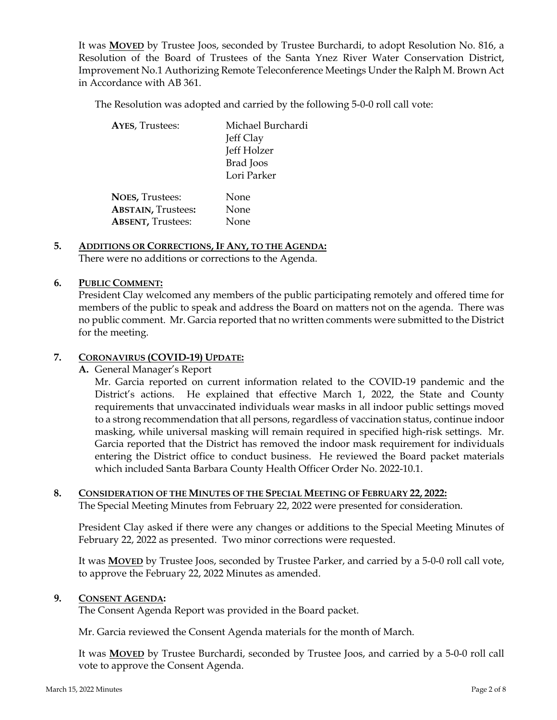It was **MOVED** by Trustee Joos, seconded by Trustee Burchardi, to adopt Resolution No. 816, a Resolution of the Board of Trustees of the Santa Ynez River Water Conservation District, Improvement No.1 Authorizing Remote Teleconference Meetings Under the Ralph M. Brown Act in Accordance with AB 361.

The Resolution was adopted and carried by the following 5-0-0 roll call vote:

| <b>AYES, Trustees:</b>    | Michael Burchardi<br>Jeff Clay<br>Jeff Holzer<br><b>Brad</b> Joos<br>Lori Parker |
|---------------------------|----------------------------------------------------------------------------------|
| <b>NOES, Trustees:</b>    | None                                                                             |
| <b>ABSTAIN, Trustees:</b> | None                                                                             |
| <b>ABSENT, Trustees:</b>  | None                                                                             |

#### **5. ADDITIONS OR CORRECTIONS, IF ANY, TO THE AGENDA:**  There were no additions or corrections to the Agenda.

## **6. PUBLIC COMMENT:**

President Clay welcomed any members of the public participating remotely and offered time for members of the public to speak and address the Board on matters not on the agenda. There was no public comment. Mr. Garcia reported that no written comments were submitted to the District for the meeting.

#### **7. CORONAVIRUS (COVID-19) UPDATE:**

**A.** General Manager's Report

Mr. Garcia reported on current information related to the COVID-19 pandemic and the District's actions. He explained that effective March 1, 2022, the State and County requirements that unvaccinated individuals wear masks in all indoor public settings moved to a strong recommendation that all persons, regardless of vaccination status, continue indoor masking, while universal masking will remain required in specified high-risk settings. Mr. Garcia reported that the District has removed the indoor mask requirement for individuals entering the District office to conduct business. He reviewed the Board packet materials which included Santa Barbara County Health Officer Order No. 2022-10.1.

# **8. CONSIDERATION OF THE MINUTES OF THE SPECIAL MEETING OF FEBRUARY 22, 2022:**

The Special Meeting Minutes from February 22, 2022 were presented for consideration.

President Clay asked if there were any changes or additions to the Special Meeting Minutes of February 22, 2022 as presented. Two minor corrections were requested.

It was **MOVED** by Trustee Joos, seconded by Trustee Parker, and carried by a 5-0-0 roll call vote, to approve the February 22, 2022 Minutes as amended.

# **9. CONSENT AGENDA:**

The Consent Agenda Report was provided in the Board packet.

Mr. Garcia reviewed the Consent Agenda materials for the month of March.

It was **MOVED** by Trustee Burchardi, seconded by Trustee Joos, and carried by a 5-0-0 roll call vote to approve the Consent Agenda.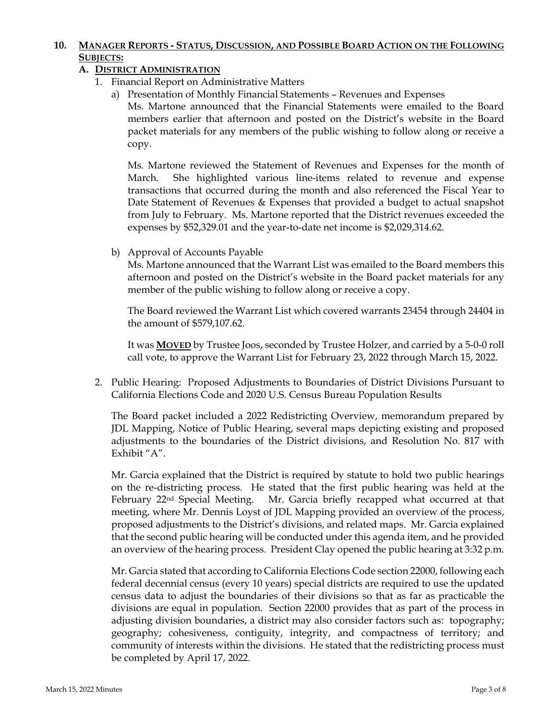## **10. MANAGER REPORTS - STATUS, DISCUSSION, AND POSSIBLE BOARD ACTION ON THE FOLLOWING SUBJECTS:**

# **A. DISTRICT ADMINISTRATION**

- 1. Financial Report on Administrative Matters
	- a) Presentation of Monthly Financial Statements Revenues and Expenses

Ms. Martone announced that the Financial Statements were emailed to the Board members earlier that afternoon and posted on the District's website in the Board packet materials for any members of the public wishing to follow along or receive a copy.

Ms. Martone reviewed the Statement of Revenues and Expenses for the month of March. She highlighted various line-items related to revenue and expense transactions that occurred during the month and also referenced the Fiscal Year to Date Statement of Revenues & Expenses that provided a budget to actual snapshot from July to February. Ms. Martone reported that the District revenues exceeded the expenses by \$52,329.01 and the year-to-date net income is \$2,029,314.62.

b) Approval of Accounts Payable

Ms. Martone announced that the Warrant List was emailed to the Board members this afternoon and posted on the District's website in the Board packet materials for any member of the public wishing to follow along or receive a copy.

The Board reviewed the Warrant List which covered warrants 23454 through 24404 in the amount of \$579,107.62.

It was **MOVED** by Trustee Joos, seconded by Trustee Holzer, and carried by a 5-0-0 roll call vote, to approve the Warrant List for February 23, 2022 through March 15, 2022.

2. Public Hearing: Proposed Adjustments to Boundaries of District Divisions Pursuant to California Elections Code and 2020 U.S. Census Bureau Population Results

The Board packet included a 2022 Redistricting Overview, memorandum prepared by JDL Mapping, Notice of Public Hearing, several maps depicting existing and proposed adjustments to the boundaries of the District divisions, and Resolution No. 817 with Exhibit "A".

Mr. Garcia explained that the District is required by statute to hold two public hearings on the re-districting process. He stated that the first public hearing was held at the February 22nd Special Meeting. Mr. Garcia briefly recapped what occurred at that meeting, where Mr. Dennis Loyst of JDL Mapping provided an overview of the process, proposed adjustments to the District's divisions, and related maps. Mr. Garcia explained that the second public hearing will be conducted under this agenda item, and he provided an overview of the hearing process. President Clay opened the public hearing at 3:32 p.m.

Mr. Garcia stated that according to California Elections Code section 22000, following each federal decennial census (every 10 years) special districts are required to use the updated census data to adjust the boundaries of their divisions so that as far as practicable the divisions are equal in population. Section 22000 provides that as part of the process in adjusting division boundaries, a district may also consider factors such as: topography; geography; cohesiveness, contiguity, integrity, and compactness of territory; and community of interests within the divisions. He stated that the redistricting process must be completed by April 17, 2022.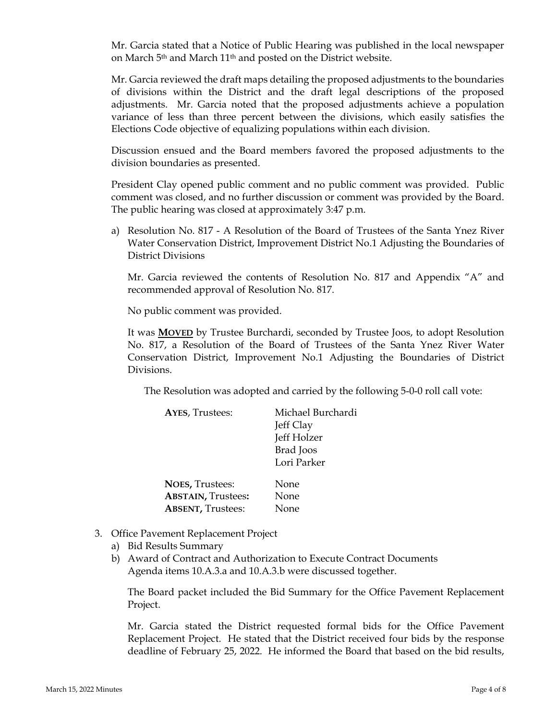Mr. Garcia stated that a Notice of Public Hearing was published in the local newspaper on March 5th and March 11th and posted on the District website.

Mr. Garcia reviewed the draft maps detailing the proposed adjustments to the boundaries of divisions within the District and the draft legal descriptions of the proposed adjustments. Mr. Garcia noted that the proposed adjustments achieve a population variance of less than three percent between the divisions, which easily satisfies the Elections Code objective of equalizing populations within each division.

Discussion ensued and the Board members favored the proposed adjustments to the division boundaries as presented.

President Clay opened public comment and no public comment was provided. Public comment was closed, and no further discussion or comment was provided by the Board. The public hearing was closed at approximately 3:47 p.m.

a) Resolution No. 817 - A Resolution of the Board of Trustees of the Santa Ynez River Water Conservation District, Improvement District No.1 Adjusting the Boundaries of District Divisions

Mr. Garcia reviewed the contents of Resolution No. 817 and Appendix "A" and recommended approval of Resolution No. 817.

No public comment was provided.

It was **MOVED** by Trustee Burchardi, seconded by Trustee Joos, to adopt Resolution No. 817, a Resolution of the Board of Trustees of the Santa Ynez River Water Conservation District, Improvement No.1 Adjusting the Boundaries of District Divisions.

The Resolution was adopted and carried by the following 5-0-0 roll call vote:

| <b>AYES, Trustees:</b>    | Michael Burchardi |
|---------------------------|-------------------|
|                           | Jeff Clay         |
|                           | Jeff Holzer       |
|                           | <b>Brad</b> Joos  |
|                           | Lori Parker       |
| <b>NOES, Trustees:</b>    | None              |
| <b>ABSTAIN, Trustees:</b> | None              |
| <b>ABSENT, Trustees:</b>  | None              |

- 3. Office Pavement Replacement Project
	- a) Bid Results Summary
	- b) Award of Contract and Authorization to Execute Contract Documents Agenda items 10.A.3.a and 10.A.3.b were discussed together.

The Board packet included the Bid Summary for the Office Pavement Replacement Project.

Mr. Garcia stated the District requested formal bids for the Office Pavement Replacement Project. He stated that the District received four bids by the response deadline of February 25, 2022. He informed the Board that based on the bid results,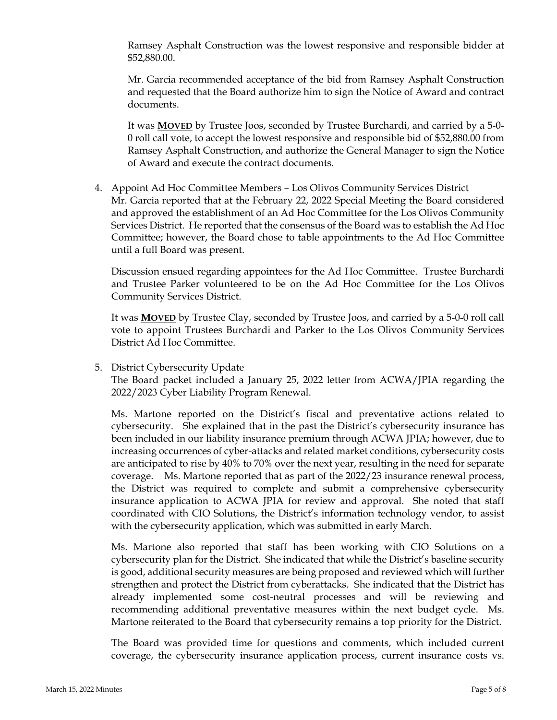Ramsey Asphalt Construction was the lowest responsive and responsible bidder at \$52,880.00.

Mr. Garcia recommended acceptance of the bid from Ramsey Asphalt Construction and requested that the Board authorize him to sign the Notice of Award and contract documents.

It was **MOVED** by Trustee Joos, seconded by Trustee Burchardi, and carried by a 5-0- 0 roll call vote, to accept the lowest responsive and responsible bid of \$52,880.00 from Ramsey Asphalt Construction, and authorize the General Manager to sign the Notice of Award and execute the contract documents.

4. Appoint Ad Hoc Committee Members – Los Olivos Community Services District Mr. Garcia reported that at the February 22, 2022 Special Meeting the Board considered and approved the establishment of an Ad Hoc Committee for the Los Olivos Community Services District. He reported that the consensus of the Board was to establish the Ad Hoc Committee; however, the Board chose to table appointments to the Ad Hoc Committee until a full Board was present.

Discussion ensued regarding appointees for the Ad Hoc Committee. Trustee Burchardi and Trustee Parker volunteered to be on the Ad Hoc Committee for the Los Olivos Community Services District.

It was **MOVED** by Trustee Clay, seconded by Trustee Joos, and carried by a 5-0-0 roll call vote to appoint Trustees Burchardi and Parker to the Los Olivos Community Services District Ad Hoc Committee.

5. District Cybersecurity Update

The Board packet included a January 25, 2022 letter from ACWA/JPIA regarding the 2022/2023 Cyber Liability Program Renewal.

Ms. Martone reported on the District's fiscal and preventative actions related to cybersecurity. She explained that in the past the District's cybersecurity insurance has been included in our liability insurance premium through ACWA JPIA; however, due to increasing occurrences of cyber-attacks and related market conditions, cybersecurity costs are anticipated to rise by 40% to 70% over the next year, resulting in the need for separate coverage. Ms. Martone reported that as part of the 2022/23 insurance renewal process, the District was required to complete and submit a comprehensive cybersecurity insurance application to ACWA JPIA for review and approval. She noted that staff coordinated with CIO Solutions, the District's information technology vendor, to assist with the cybersecurity application, which was submitted in early March.

Ms. Martone also reported that staff has been working with CIO Solutions on a cybersecurity plan for the District. She indicated that while the District's baseline security is good, additional security measures are being proposed and reviewed which will further strengthen and protect the District from cyberattacks. She indicated that the District has already implemented some cost-neutral processes and will be reviewing and recommending additional preventative measures within the next budget cycle. Ms. Martone reiterated to the Board that cybersecurity remains a top priority for the District.

The Board was provided time for questions and comments, which included current coverage, the cybersecurity insurance application process, current insurance costs vs.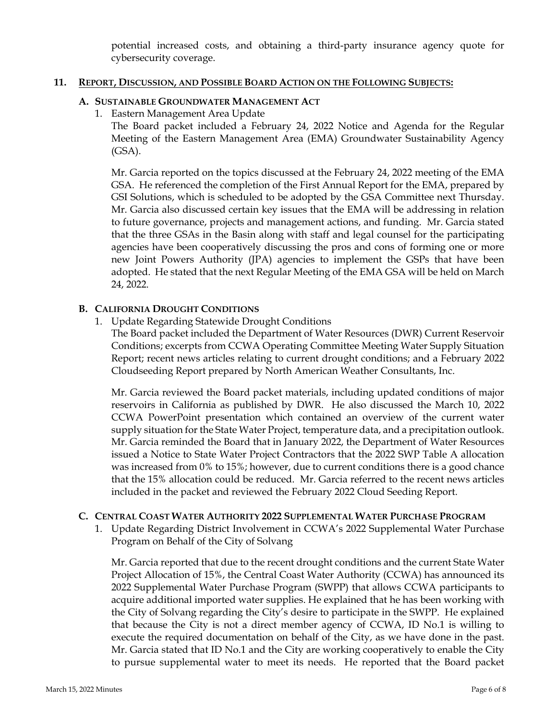potential increased costs, and obtaining a third-party insurance agency quote for cybersecurity coverage.

### **11. REPORT, DISCUSSION, AND POSSIBLE BOARD ACTION ON THE FOLLOWING SUBJECTS:**

## **A. SUSTAINABLE GROUNDWATER MANAGEMENT ACT**

1. Eastern Management Area Update

The Board packet included a February 24, 2022 Notice and Agenda for the Regular Meeting of the Eastern Management Area (EMA) Groundwater Sustainability Agency (GSA).

Mr. Garcia reported on the topics discussed at the February 24, 2022 meeting of the EMA GSA. He referenced the completion of the First Annual Report for the EMA, prepared by GSI Solutions, which is scheduled to be adopted by the GSA Committee next Thursday. Mr. Garcia also discussed certain key issues that the EMA will be addressing in relation to future governance, projects and management actions, and funding. Mr. Garcia stated that the three GSAs in the Basin along with staff and legal counsel for the participating agencies have been cooperatively discussing the pros and cons of forming one or more new Joint Powers Authority (JPA) agencies to implement the GSPs that have been adopted. He stated that the next Regular Meeting of the EMA GSA will be held on March 24, 2022.

## **B. CALIFORNIA DROUGHT CONDITIONS**

1. Update Regarding Statewide Drought Conditions

The Board packet included the Department of Water Resources (DWR) Current Reservoir Conditions; excerpts from CCWA Operating Committee Meeting Water Supply Situation Report; recent news articles relating to current drought conditions; and a February 2022 Cloudseeding Report prepared by North American Weather Consultants, Inc.

Mr. Garcia reviewed the Board packet materials, including updated conditions of major reservoirs in California as published by DWR. He also discussed the March 10, 2022 CCWA PowerPoint presentation which contained an overview of the current water supply situation for the State Water Project, temperature data, and a precipitation outlook. Mr. Garcia reminded the Board that in January 2022, the Department of Water Resources issued a Notice to State Water Project Contractors that the 2022 SWP Table A allocation was increased from 0% to 15%; however, due to current conditions there is a good chance that the 15% allocation could be reduced. Mr. Garcia referred to the recent news articles included in the packet and reviewed the February 2022 Cloud Seeding Report.

#### **C. CENTRAL COAST WATER AUTHORITY 2022 SUPPLEMENTAL WATER PURCHASE PROGRAM**

1. Update Regarding District Involvement in CCWA's 2022 Supplemental Water Purchase Program on Behalf of the City of Solvang

Mr. Garcia reported that due to the recent drought conditions and the current State Water Project Allocation of 15%, the Central Coast Water Authority (CCWA) has announced its 2022 Supplemental Water Purchase Program (SWPP) that allows CCWA participants to acquire additional imported water supplies. He explained that he has been working with the City of Solvang regarding the City's desire to participate in the SWPP. He explained that because the City is not a direct member agency of CCWA, ID No.1 is willing to execute the required documentation on behalf of the City, as we have done in the past. Mr. Garcia stated that ID No.1 and the City are working cooperatively to enable the City to pursue supplemental water to meet its needs. He reported that the Board packet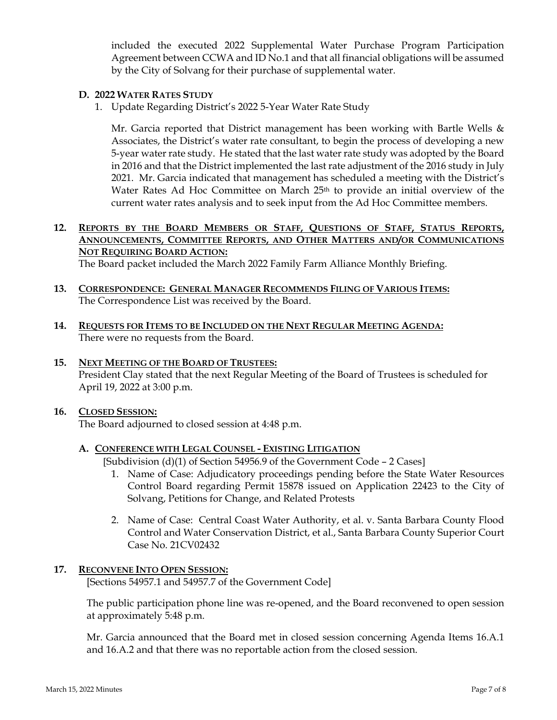included the executed 2022 Supplemental Water Purchase Program Participation Agreement between CCWA and ID No.1 and that all financial obligations will be assumed by the City of Solvang for their purchase of supplemental water.

## **D. 2022 WATER RATES STUDY**

1. Update Regarding District's 2022 5-Year Water Rate Study

Mr. Garcia reported that District management has been working with Bartle Wells  $\&$ Associates, the District's water rate consultant, to begin the process of developing a new 5-year water rate study. He stated that the last water rate study was adopted by the Board in 2016 and that the District implemented the last rate adjustment of the 2016 study in July 2021. Mr. Garcia indicated that management has scheduled a meeting with the District's Water Rates Ad Hoc Committee on March  $25<sup>th</sup>$  to provide an initial overview of the current water rates analysis and to seek input from the Ad Hoc Committee members.

## **12. REPORTS BY THE BOARD MEMBERS OR STAFF, QUESTIONS OF STAFF, STATUS REPORTS, ANNOUNCEMENTS, COMMITTEE REPORTS, AND OTHER MATTERS AND/OR COMMUNICATIONS NOT REQUIRING BOARD ACTION:**

The Board packet included the March 2022 Family Farm Alliance Monthly Briefing.

- **13. CORRESPONDENCE: GENERAL MANAGER RECOMMENDS FILING OF VARIOUS ITEMS:**  The Correspondence List was received by the Board.
- **14. REQUESTS FOR ITEMS TO BE INCLUDED ON THE NEXT REGULAR MEETING AGENDA:**  There were no requests from the Board.

## **15. NEXT MEETING OF THE BOARD OF TRUSTEES:**  President Clay stated that the next Regular Meeting of the Board of Trustees is scheduled for April 19, 2022 at 3:00 p.m.

# **16. CLOSED SESSION:**

The Board adjourned to closed session at 4:48 p.m.

# **A. CONFERENCE WITH LEGAL COUNSEL - EXISTING LITIGATION**

[Subdivision  $(d)(1)$  of Section 54956.9 of the Government Code – 2 Cases]

- 1. Name of Case: Adjudicatory proceedings pending before the State Water Resources Control Board regarding Permit 15878 issued on Application 22423 to the City of Solvang, Petitions for Change, and Related Protests
- 2. Name of Case: Central Coast Water Authority, et al. v. Santa Barbara County Flood Control and Water Conservation District, et al., Santa Barbara County Superior Court Case No. 21CV02432

# **17. RECONVENE INTO OPEN SESSION:**

[Sections 54957.1 and 54957.7 of the Government Code]

The public participation phone line was re-opened, and the Board reconvened to open session at approximately 5:48 p.m.

Mr. Garcia announced that the Board met in closed session concerning Agenda Items 16.A.1 and 16.A.2 and that there was no reportable action from the closed session.